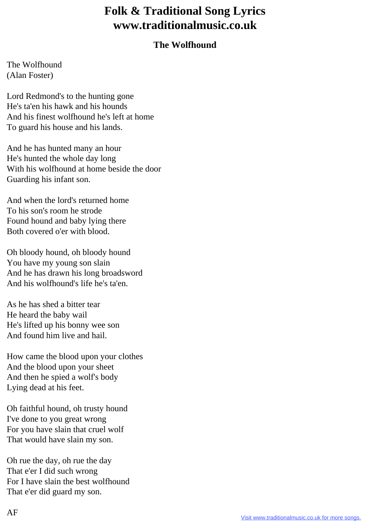## **Folk & Traditional Song Lyrics www.traditionalmusic.co.uk**

## **The Wolfhound**

The Wolfhound (Alan Foster)

Lord Redmond's to the hunting gone He's ta'en his hawk and his hounds And his finest wolfhound he's left at home To guard his house and his lands.

And he has hunted many an hour He's hunted the whole day long With his wolfhound at home beside the door Guarding his infant son.

And when the lord's returned home To his son's room he strode Found hound and baby lying there Both covered o'er with blood.

Oh bloody hound, oh bloody hound You have my young son slain And he has drawn his long broadsword And his wolfhound's life he's ta'en.

As he has shed a bitter tear He heard the baby wail He's lifted up his bonny wee son And found him live and hail.

How came the blood upon your clothes And the blood upon your sheet And then he spied a wolf's body Lying dead at his feet.

Oh faithful hound, oh trusty hound I've done to you great wrong For you have slain that cruel wolf That would have slain my son.

Oh rue the day, oh rue the day That e'er I did such wrong For I have slain the best wolfhound That e'er did guard my son.